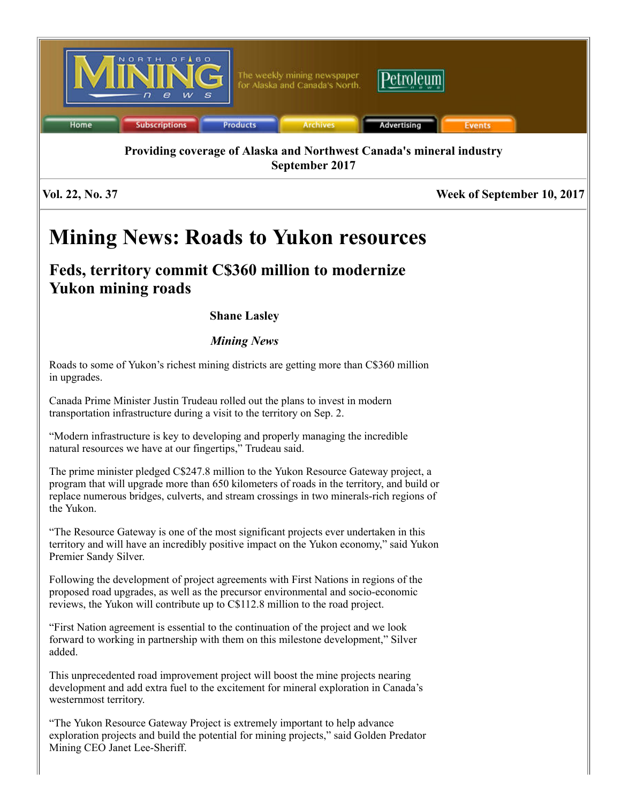

Vol. 22, No. 37 Week of September 10, 2017

# Mining News: Roads to Yukon resources

# Feds, territory commit C\$360 million to modernize Yukon mining roads

## Shane Lasley

## *Mining News*

Roads to some of Yukon's richest mining districts are getting more than C\$360 million in upgrades.

Canada Prime Minister Justin Trudeau rolled out the plans to invest in modern transportation infrastructure during a visit to the territory on Sep. 2.

"Modern infrastructure is key to developing and properly managing the incredible natural resources we have at our fingertips," Trudeau said.

The prime minister pledged C\$247.8 million to the Yukon Resource Gateway project, a program that will upgrade more than 650 kilometers of roads in the territory, and build or replace numerous bridges, culverts, and stream crossings in two minerals-rich regions of the Yukon.

"The Resource Gateway is one of the most significant projects ever undertaken in this territory and will have an incredibly positive impact on the Yukon economy," said Yukon Premier Sandy Silver.

Following the development of project agreements with First Nations in regions of the proposed road upgrades, as well as the precursor environmental and socio-economic reviews, the Yukon will contribute up to C\$112.8 million to the road project.

"First Nation agreement is essential to the continuation of the project and we look forward to working in partnership with them on this milestone development," Silver added.

This unprecedented road improvement project will boost the mine projects nearing development and add extra fuel to the excitement for mineral exploration in Canada's westernmost territory.

"The Yukon Resource Gateway Project is extremely important to help advance exploration projects and build the potential for mining projects," said Golden Predator Mining CEO Janet Lee-Sheriff.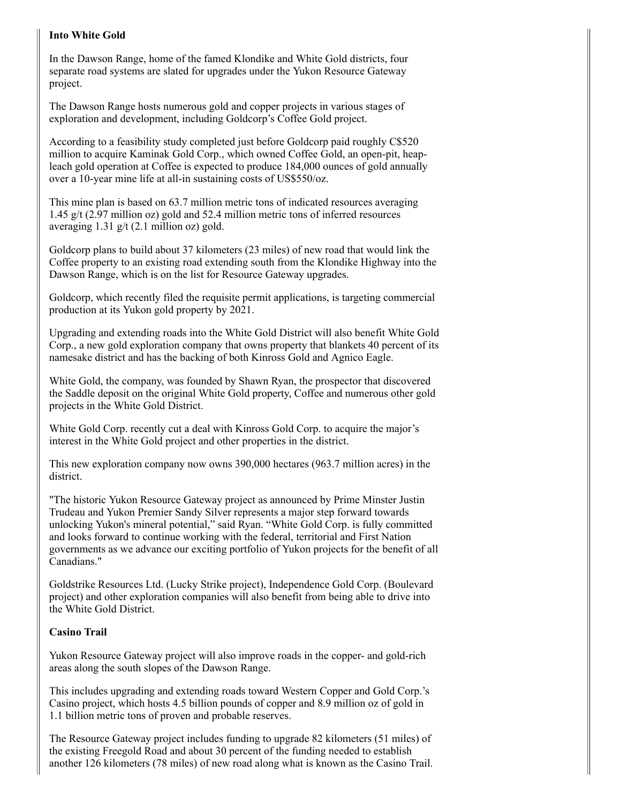#### Into White Gold

In the Dawson Range, home of the famed Klondike and White Gold districts, four separate road systems are slated for upgrades under the Yukon Resource Gateway project.

The Dawson Range hosts numerous gold and copper projects in various stages of exploration and development, including Goldcorp's Coffee Gold project.

According to a feasibility study completed just before Goldcorp paid roughly C\$520 million to acquire Kaminak Gold Corp., which owned Coffee Gold, an open-pit, heapleach gold operation at Coffee is expected to produce 184,000 ounces of gold annually over a 10-year mine life at all-in sustaining costs of US\$550/oz.

This mine plan is based on 63.7 million metric tons of indicated resources averaging 1.45 g/t (2.97 million oz) gold and 52.4 million metric tons of inferred resources averaging 1.31 g/t (2.1 million oz) gold.

Goldcorp plans to build about 37 kilometers (23 miles) of new road that would link the Coffee property to an existing road extending south from the Klondike Highway into the Dawson Range, which is on the list for Resource Gateway upgrades.

Goldcorp, which recently filed the requisite permit applications, is targeting commercial production at its Yukon gold property by 2021.

Upgrading and extending roads into the White Gold District will also benefit White Gold Corp., a new gold exploration company that owns property that blankets 40 percent of its namesake district and has the backing of both Kinross Gold and Agnico Eagle.

White Gold, the company, was founded by Shawn Ryan, the prospector that discovered the Saddle deposit on the original White Gold property, Coffee and numerous other gold projects in the White Gold District.

White Gold Corp. recently cut a deal with Kinross Gold Corp. to acquire the major's interest in the White Gold project and other properties in the district.

This new exploration company now owns 390,000 hectares (963.7 million acres) in the district.

"The historic Yukon Resource Gateway project as announced by Prime Minster Justin Trudeau and Yukon Premier Sandy Silver represents a major step forward towards unlocking Yukon's mineral potential," said Ryan. "White Gold Corp. is fully committed and looks forward to continue working with the federal, territorial and First Nation governments as we advance our exciting portfolio of Yukon projects for the benefit of all Canadians."

Goldstrike Resources Ltd. (Lucky Strike project), Independence Gold Corp. (Boulevard project) and other exploration companies will also benefit from being able to drive into the White Gold District.

#### Casino Trail

Yukon Resource Gateway project will also improve roads in the copper- and gold-rich areas along the south slopes of the Dawson Range.

This includes upgrading and extending roads toward Western Copper and Gold Corp.'s Casino project, which hosts 4.5 billion pounds of copper and 8.9 million oz of gold in 1.1 billion metric tons of proven and probable reserves.

The Resource Gateway project includes funding to upgrade 82 kilometers (51 miles) of the existing Freegold Road and about 30 percent of the funding needed to establish another 126 kilometers (78 miles) of new road along what is known as the Casino Trail.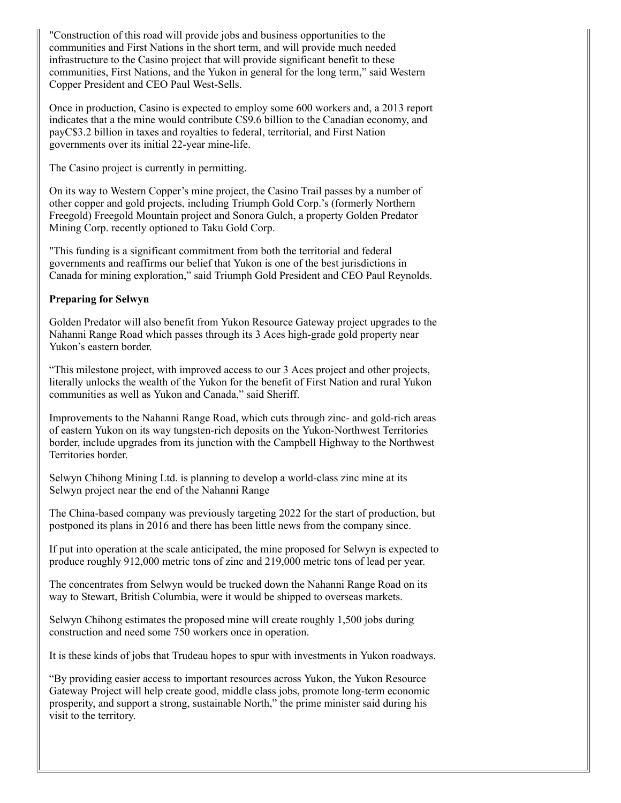"Construction of this road will provide jobs and business opportunities to the communities and First Nations in the short term, and will provide much needed infrastructure to the Casino project that will provide significant benefit to these communities, First Nations, and the Yukon in general for the long term," said Western Copper President and CEO Paul West-Sells.

Once in production, Casino is expected to employ some 600 workers and, a 2013 report indicates that a the mine would contribute C\$9.6 billion to the Canadian economy, and payC\$3.2 billion in taxes and royalties to federal, territorial, and First Nation governments over its initial 22-year mine-life.

The Casino project is currently in permitting.

On its way to Western Copper's mine project, the Casino Trail passes by a number of other copper and gold projects, including Triumph Gold Corp.'s (formerly Northern Freegold) Freegold Mountain project and Sonora Gulch, a property Golden Predator Mining Corp. recently optioned to Taku Gold Corp.

"This funding is a significant commitment from both the territorial and federal governments and reaffirms our belief that Yukon is one of the best jurisdictions in Canada for mining exploration," said Triumph Gold President and CEO Paul Reynolds.

#### Preparing for Selwyn

Golden Predator will also benefit from Yukon Resource Gateway project upgrades to the Nahanni Range Road which passes through its 3 Aces high-grade gold property near Yukon's eastern border.

"This milestone project, with improved access to our 3 Aces project and other projects, literally unlocks the wealth of the Yukon for the benefit of First Nation and rural Yukon communities as well as Yukon and Canada," said Sheriff.

Improvements to the Nahanni Range Road, which cuts through zinc- and gold-rich areas of eastern Yukon on its way tungsten-rich deposits on the Yukon-Northwest Territories border, include upgrades from its junction with the Campbell Highway to the Northwest Territories border.

Selwyn Chihong Mining Ltd. is planning to develop a world-class zinc mine at its Selwyn project near the end of the Nahanni Range

The China-based company was previously targeting 2022 for the start of production, but postponed its plans in 2016 and there has been little news from the company since.

If put into operation at the scale anticipated, the mine proposed for Selwyn is expected to produce roughly 912,000 metric tons of zinc and 219,000 metric tons of lead per year.

The concentrates from Selwyn would be trucked down the Nahanni Range Road on its way to Stewart, British Columbia, were it would be shipped to overseas markets.

Selwyn Chihong estimates the proposed mine will create roughly 1,500 jobs during construction and need some 750 workers once in operation.

It is these kinds of jobs that Trudeau hopes to spur with investments in Yukon roadways.

"By providing easier access to important resources across Yukon, the Yukon Resource Gateway Project will help create good, middle class jobs, promote long-term economic prosperity, and support a strong, sustainable North," the prime minister said during his visit to the territory.